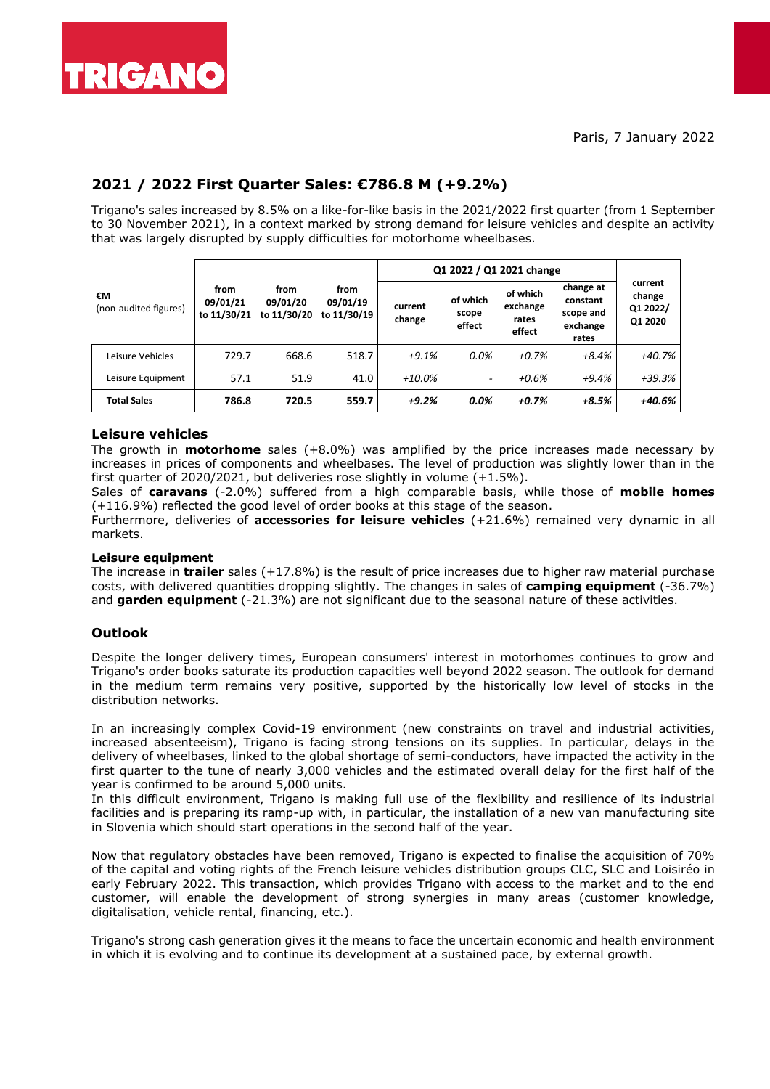

# **2021 / 2022 First Quarter Sales: €786.8 M (+9.2%)**

Trigano's sales increased by 8.5% on a like-for-like basis in the 2021/2022 first quarter (from 1 September to 30 November 2021), in a context marked by strong demand for leisure vehicles and despite an activity that was largely disrupted by supply difficulties for motorhome wheelbases.

| €M<br>(non-audited figures) |                                 |                                 |                                 | Q1 2022 / Q1 2021 change |                             |                                         |                                                         |                                          |
|-----------------------------|---------------------------------|---------------------------------|---------------------------------|--------------------------|-----------------------------|-----------------------------------------|---------------------------------------------------------|------------------------------------------|
|                             | from<br>09/01/21<br>to 11/30/21 | from<br>09/01/20<br>to 11/30/20 | from<br>09/01/19<br>to 11/30/19 | current<br>change        | of which<br>scope<br>effect | of which<br>exchange<br>rates<br>effect | change at<br>constant<br>scope and<br>exchange<br>rates | current<br>change<br>Q1 2022/<br>Q1 2020 |
| Leisure Vehicles            | 729.7                           | 668.6                           | 518.7                           | $+9.1%$                  | 0.0%                        | $+0.7%$                                 | +8.4%                                                   | $+40.7%$                                 |
| Leisure Equipment           | 57.1                            | 51.9                            | 41.0                            | +10.0%                   | $\overline{\phantom{0}}$    | $+0.6%$                                 | $+9.4%$                                                 | $+39.3%$                                 |
| <b>Total Sales</b>          | 786.8                           | 720.5                           | 559.7                           | $+9.2%$                  | $0.0\%$                     | $+0.7%$                                 | +8.5%                                                   | +40.6%                                   |

### **Leisure vehicles**

The growth in **motorhome** sales (+8.0%) was amplified by the price increases made necessary by increases in prices of components and wheelbases. The level of production was slightly lower than in the first quarter of 2020/2021, but deliveries rose slightly in volume (+1.5%).

Sales of **caravans** (-2.0%) suffered from a high comparable basis, while those of **mobile homes** (+116.9%) reflected the good level of order books at this stage of the season.

Furthermore, deliveries of **accessories for leisure vehicles** (+21.6%) remained very dynamic in all markets.

#### **Leisure equipment**

The increase in **trailer** sales (+17.8%) is the result of price increases due to higher raw material purchase costs, with delivered quantities dropping slightly. The changes in sales of **camping equipment** (-36.7%) and **garden equipment** (-21.3%) are not significant due to the seasonal nature of these activities.

### **Outlook**

Despite the longer delivery times, European consumers' interest in motorhomes continues to grow and Trigano's order books saturate its production capacities well beyond 2022 season. The outlook for demand in the medium term remains very positive, supported by the historically low level of stocks in the distribution networks.

In an increasingly complex Covid-19 environment (new constraints on travel and industrial activities, increased absenteeism), Trigano is facing strong tensions on its supplies. In particular, delays in the delivery of wheelbases, linked to the global shortage of semi-conductors, have impacted the activity in the first quarter to the tune of nearly 3,000 vehicles and the estimated overall delay for the first half of the year is confirmed to be around 5,000 units.

In this difficult environment, Trigano is making full use of the flexibility and resilience of its industrial facilities and is preparing its ramp-up with, in particular, the installation of a new van manufacturing site in Slovenia which should start operations in the second half of the year.

Now that regulatory obstacles have been removed, Trigano is expected to finalise the acquisition of 70% of the capital and voting rights of the French leisure vehicles distribution groups CLC, SLC and Loisiréo in early February 2022. This transaction, which provides Trigano with access to the market and to the end customer, will enable the development of strong synergies in many areas (customer knowledge, digitalisation, vehicle rental, financing, etc.).

Trigano's strong cash generation gives it the means to face the uncertain economic and health environment in which it is evolving and to continue its development at a sustained pace, by external growth.